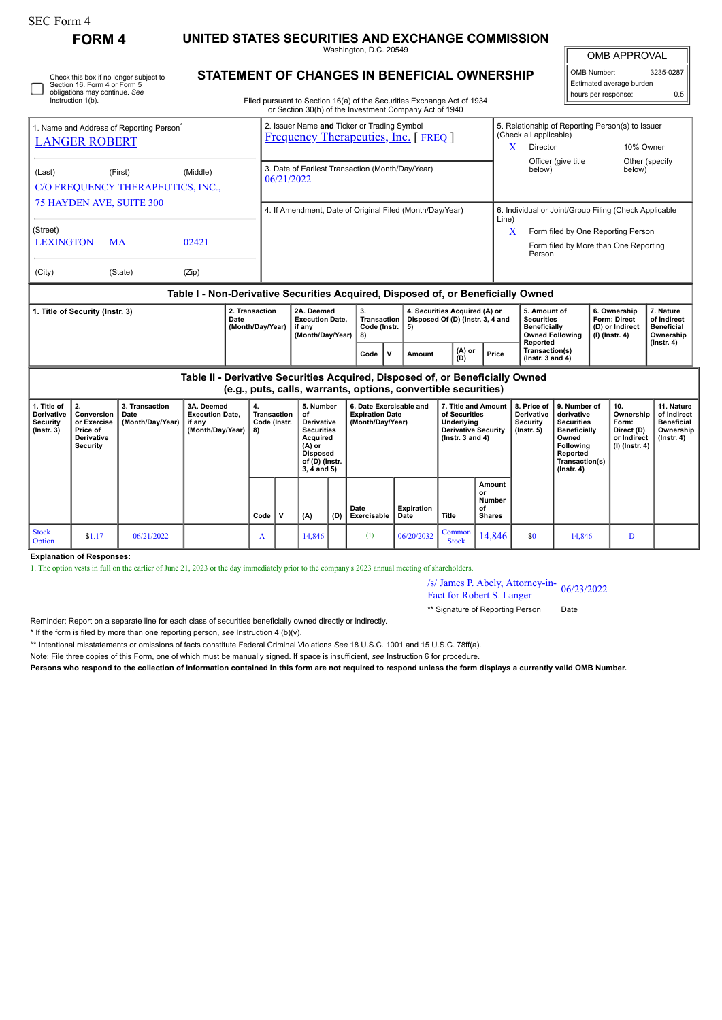П

Stock<br>Option

**Explanation of Responses:**

Check this box if no longer subject to Section 16. Form 4 or Form 5 obligations may continue. *See* Instruction 1(b).

**FORM 4 UNITED STATES SECURITIES AND EXCHANGE COMMISSION**

Washington, D.C. 20549 **STATEMENT OF CHANGES IN BENEFICIAL OWNERSHIP**  $\mathbb{F}$ OMB APPROVAL

| OMB Number:              | 3235-0287 |
|--------------------------|-----------|
| Estimated average burden |           |
| hours per response:      | 0.5       |

| Filed pursuant to Section 16(a) of the Securities Exchange Act of |  |  |
|-------------------------------------------------------------------|--|--|

o Section 16(a) of the Securities Exchange Act of 1934 or Section 30(h) of the Investment Company Act of 1940

|                                                                              |                                                                                     |                                              |                                                                                                                                                                         |                                                                                           |                                                                | or Section 30(h) of the Investment Company Act of 1940                                                                                                                                                                                                                                                                       |      |                                                                            |        |                                                                                                                                                                                                                                 |                                                                            |       |                                                                          |                                                                                 |  |                                                                             |                  |
|------------------------------------------------------------------------------|-------------------------------------------------------------------------------------|----------------------------------------------|-------------------------------------------------------------------------------------------------------------------------------------------------------------------------|-------------------------------------------------------------------------------------------|----------------------------------------------------------------|------------------------------------------------------------------------------------------------------------------------------------------------------------------------------------------------------------------------------------------------------------------------------------------------------------------------------|------|----------------------------------------------------------------------------|--------|---------------------------------------------------------------------------------------------------------------------------------------------------------------------------------------------------------------------------------|----------------------------------------------------------------------------|-------|--------------------------------------------------------------------------|---------------------------------------------------------------------------------|--|-----------------------------------------------------------------------------|------------------|
| 1. Name and Address of Reporting Person <sup>®</sup><br><b>LANGER ROBERT</b> |                                                                                     |                                              |                                                                                                                                                                         | 2. Issuer Name and Ticker or Trading Symbol<br><b>Frequency Therapeutics, Inc.</b> [FREQ] |                                                                |                                                                                                                                                                                                                                                                                                                              |      |                                                                            |        |                                                                                                                                                                                                                                 | 5. Relationship of Reporting Person(s) to Issuer<br>(Check all applicable) |       |                                                                          |                                                                                 |  |                                                                             |                  |
|                                                                              |                                                                                     |                                              |                                                                                                                                                                         |                                                                                           |                                                                |                                                                                                                                                                                                                                                                                                                              |      |                                                                            |        | X<br>Director                                                                                                                                                                                                                   |                                                                            |       | 10% Owner                                                                |                                                                                 |  |                                                                             |                  |
| (Last)                                                                       |                                                                                     | (First)<br>C/O FREQUENCY THERAPEUTICS, INC., | (Middle)                                                                                                                                                                |                                                                                           | 3. Date of Earliest Transaction (Month/Day/Year)<br>06/21/2022 |                                                                                                                                                                                                                                                                                                                              |      |                                                                            |        |                                                                                                                                                                                                                                 | Officer (give title<br>below)                                              |       |                                                                          | Other (specify<br>below)                                                        |  |                                                                             |                  |
| <b>75 HAYDEN AVE, SUITE 300</b>                                              |                                                                                     |                                              |                                                                                                                                                                         | 4. If Amendment, Date of Original Filed (Month/Day/Year)                                  |                                                                |                                                                                                                                                                                                                                                                                                                              |      |                                                                            |        | 6. Individual or Joint/Group Filing (Check Applicable                                                                                                                                                                           |                                                                            |       |                                                                          |                                                                                 |  |                                                                             |                  |
| (Street)<br><b>LEXINGTON</b>                                                 |                                                                                     | <b>MA</b>                                    | 02421                                                                                                                                                                   |                                                                                           |                                                                |                                                                                                                                                                                                                                                                                                                              |      |                                                                            |        |                                                                                                                                                                                                                                 |                                                                            | Line) | X<br>Person                                                              |                                                                                 |  | Form filed by One Reporting Person<br>Form filed by More than One Reporting |                  |
| (City)                                                                       |                                                                                     | (State)                                      | (Zip)                                                                                                                                                                   |                                                                                           |                                                                |                                                                                                                                                                                                                                                                                                                              |      |                                                                            |        |                                                                                                                                                                                                                                 |                                                                            |       |                                                                          |                                                                                 |  |                                                                             |                  |
|                                                                              |                                                                                     |                                              |                                                                                                                                                                         |                                                                                           |                                                                | Table I - Non-Derivative Securities Acquired, Disposed of, or Beneficially Owned                                                                                                                                                                                                                                             |      |                                                                            |        |                                                                                                                                                                                                                                 |                                                                            |       |                                                                          |                                                                                 |  |                                                                             |                  |
| 2. Transaction<br>1. Title of Security (Instr. 3)<br>Date                    |                                                                                     | (Month/Day/Year)                             | 3.<br>4. Securities Acquired (A) or<br><b>Transaction</b><br>Disposed Of (D) (Instr. 3, 4 and<br><b>Execution Date.</b><br>Code (Instr.<br>5)<br>(Month/Day/Year)<br>8) |                                                                                           |                                                                | 5. Amount of<br><b>Securities</b><br><b>Beneficially</b><br><b>Owned Following</b>                                                                                                                                                                                                                                           |      | 6. Ownership<br><b>Form: Direct</b><br>(D) or Indirect<br>$(I)$ (Instr. 4) |        | 7. Nature<br>of Indirect<br><b>Beneficial</b><br>Ownership                                                                                                                                                                      |                                                                            |       |                                                                          |                                                                                 |  |                                                                             |                  |
|                                                                              |                                                                                     |                                              |                                                                                                                                                                         |                                                                                           |                                                                |                                                                                                                                                                                                                                                                                                                              | Code | $\mathbf v$                                                                | Amount |                                                                                                                                                                                                                                 | (A) or<br>(D)                                                              | Price |                                                                          | Reported<br>Transaction(s)<br>$($ Instr. 3 and 4 $)$                            |  |                                                                             | $($ Instr. 4 $)$ |
|                                                                              |                                                                                     |                                              |                                                                                                                                                                         |                                                                                           |                                                                | Table II - Derivative Securities Acquired, Disposed of, or Beneficially Owned<br>(e.g., puts, calls, warrants, options, convertible securities)                                                                                                                                                                              |      |                                                                            |        |                                                                                                                                                                                                                                 |                                                                            |       |                                                                          |                                                                                 |  |                                                                             |                  |
| 1. Title of<br><b>Derivative</b><br><b>Security</b><br>$($ Instr. 3 $)$      | 2.<br>Conversion<br>or Exercise<br>Price of<br><b>Derivative</b><br><b>Security</b> | 3. Transaction<br>Date<br>(Month/Day/Year)   | 3A. Deemed<br><b>Execution Date,</b><br>if any<br>(Month/Day/Year)                                                                                                      |                                                                                           | 4.<br><b>Transaction</b><br>Code (Instr.<br>8)                 | 5. Number<br>6. Date Exercisable and<br>7. Title and Amount<br><b>Expiration Date</b><br>οf<br>of Securities<br><b>Derivative</b><br>(Month/Day/Year)<br>Underlying<br><b>Securities</b><br><b>Derivative Security</b><br>Acquired<br>( $lnstr. 3 and 4$ )<br>(A) or<br><b>Disposed</b><br>of (D) (Instr.<br>$3, 4$ and $5)$ |      |                                                                            |        | 9. Number of<br>8. Price of<br><b>Derivative</b><br>derivative<br><b>Security</b><br><b>Securities</b><br><b>Beneficially</b><br>$($ lnstr. $5)$<br>Owned<br><b>Following</b><br>Reported<br>Transaction(s)<br>$($ Instr. 4 $)$ |                                                                            |       | 10.<br>Ownership<br>Form:<br>Direct (D)<br>or Indirect<br>(I) (Instr. 4) | 11. Nature<br>of Indirect<br><b>Beneficial</b><br>Ownership<br>$($ lnstr. 4 $)$ |  |                                                                             |                  |

**Date Exercisable** **Expiration Date Title** **Amount or Number of Shares**

/s/ James P. Abely, Attorney-in-

 $\frac{\text{S}}{\text{S}}$  James P. Abely, Attorney-in-<br>Fact for Robert S. Langer \*\* Signature of Reporting Person Date

 $\begin{array}{|c|c|c|c|c|c|c|c|} \hline \text{Common} & 14,846 & \text{so} & 14,846 & \text{D} \ \hline \end{array}$ 

\* If the form is filed by more than one reporting person, *see* Instruction 4 (b)(v).

Reminder: Report on a separate line for each class of securities beneficially owned directly or indirectly.

\*\* Intentional misstatements or omissions of facts constitute Federal Criminal Violations *See* 18 U.S.C. 1001 and 15 U.S.C. 78ff(a).

Stock  $\begin{bmatrix} 51.17 \\ 96/21/2022 \end{bmatrix}$  A 14,846 (1) 06/20/2032 Common Stock

1. The option vests in full on the earlier of June 21, 2023 or the day immediately prior to the company's 2023 annual meeting of shareholders.

Note: File three copies of this Form, one of which must be manually signed. If space is insufficient, *see* Instruction 6 for procedure.

**Persons who respond to the collection of information contained in this form are not required to respond unless the form displays a currently valid OMB Number.**

 $Code \mid V \mid (A) \mid (D)$